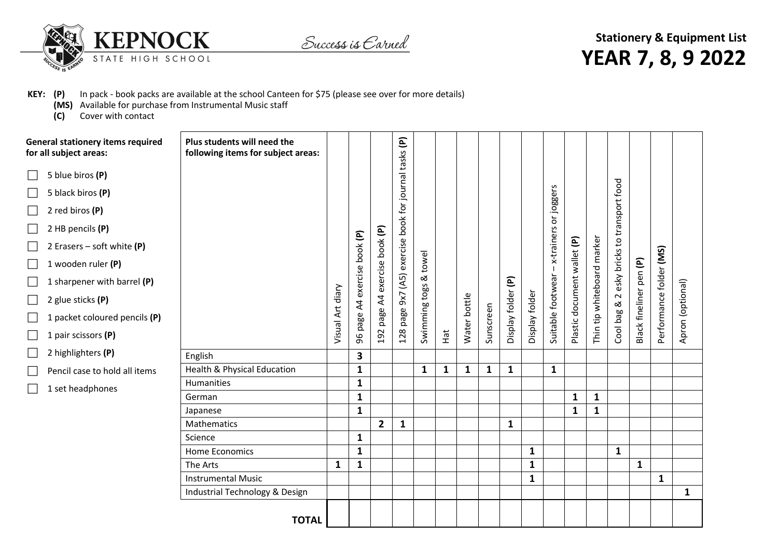

Success is Earned

**Stationery & Equipment List YEAR 7, 8, 9 2022**

## **KEY: (P)** In pack - book packs are available at the school Canteen for \$75 (please see over for more details)

- **(MS)** Available for purchase from Instrumental Music staff
- **(C)** Cover with contact

| <b>General stationery items required</b><br>for all subject areas: | Plus students will need the<br>following items for subject areas: |                  |                   |              | E                      |               |              |              |              |                    |                |                   |                             |                       |                               |                         |                         |                  |
|--------------------------------------------------------------------|-------------------------------------------------------------------|------------------|-------------------|--------------|------------------------|---------------|--------------|--------------|--------------|--------------------|----------------|-------------------|-----------------------------|-----------------------|-------------------------------|-------------------------|-------------------------|------------------|
| 5 blue biros (P)<br>$\mathcal{L}_{\mathcal{A}}$                    |                                                                   |                  |                   |              |                        |               |              |              |              |                    |                |                   |                             |                       |                               |                         |                         |                  |
| 5 black biros (P)<br>$\Box$                                        |                                                                   |                  |                   |              |                        |               |              |              |              |                    |                |                   |                             |                       |                               |                         |                         |                  |
| 2 red biros (P)<br>$\Box$                                          |                                                                   |                  |                   |              | book for journal tasks |               |              |              |              |                    |                | or joggers        |                             |                       |                               |                         |                         |                  |
| 2 HB pencils (P)<br>H                                              |                                                                   |                  |                   |              |                        |               |              |              |              |                    |                |                   |                             |                       |                               |                         |                         |                  |
| 2 Erasers – soft white $(P)$<br>$\Box$                             |                                                                   |                  |                   | book (P)     |                        |               |              |              |              |                    |                | x-trainers        |                             |                       |                               |                         |                         |                  |
| 1 wooden ruler (P)<br>$\mathcal{L}_{\mathcal{A}}$                  |                                                                   |                  |                   |              |                        | towel         |              |              |              |                    |                |                   |                             |                       |                               |                         |                         |                  |
| 1 sharpener with barrel (P)<br>$\mathbf{L}$                        |                                                                   |                  | exercise book (P) | exercise     | page 9x7 (A5) exercise | ಹ             |              |              |              |                    |                |                   | Plastic document wallet (P) | tip whiteboard marker | esky bricks to transport food | Black fineliner pen (P) | Performance folder (MS) |                  |
| 2 glue sticks (P)<br>$\Box$                                        |                                                                   |                  | $\overline{A}$    |              |                        |               |              |              |              |                    |                |                   |                             |                       | $\sim$<br>ಡ                   |                         |                         |                  |
| 1 packet coloured pencils (P)<br>$\mathcal{L}_{\mathcal{A}}$       |                                                                   | Visual Art diary | page              | page A4      |                        | Swimming togs |              | Water bottle | Sunscreen    | Display folder (P) | Display folder | Suitable footwear |                             |                       | Cool bag &                    |                         |                         | Apron (optional) |
| 1 pair scissors (P)<br>$\mathcal{L}_{\mathcal{A}}$                 |                                                                   |                  | 96                | 192          | 128                    |               | Hat          |              |              |                    |                |                   |                             | Thin                  |                               |                         |                         |                  |
| 2 highlighters (P)                                                 | English                                                           |                  | 3                 |              |                        |               |              |              |              |                    |                |                   |                             |                       |                               |                         |                         |                  |
| Pencil case to hold all items<br>$\mathcal{L}_{\mathcal{A}}$       | Health & Physical Education                                       |                  | $\mathbf{1}$      |              |                        | 1             | $\mathbf{1}$ | $\mathbf{1}$ | $\mathbf{1}$ | $\mathbf{1}$       |                | $\mathbf{1}$      |                             |                       |                               |                         |                         |                  |
|                                                                    | Humanities                                                        |                  | $\mathbf{1}$      |              |                        |               |              |              |              |                    |                |                   |                             |                       |                               |                         |                         |                  |
| 1 set headphones<br>$\Box$                                         | German                                                            |                  | $\mathbf{1}$      |              |                        |               |              |              |              |                    |                |                   | $\mathbf{1}$                | 1                     |                               |                         |                         |                  |
|                                                                    | Japanese                                                          |                  | $\mathbf{1}$      |              |                        |               |              |              |              |                    |                |                   | $\mathbf{1}$                | $\mathbf{1}$          |                               |                         |                         |                  |
|                                                                    | Mathematics                                                       |                  |                   | $\mathbf{2}$ | $\mathbf{1}$           |               |              |              |              | $\mathbf{1}$       |                |                   |                             |                       |                               |                         |                         |                  |
|                                                                    | Science                                                           |                  | $\mathbf{1}$      |              |                        |               |              |              |              |                    |                |                   |                             |                       |                               |                         |                         |                  |
|                                                                    | <b>Home Economics</b>                                             |                  | $\mathbf{1}$      |              |                        |               |              |              |              |                    | $\mathbf{1}$   |                   |                             |                       | $\mathbf{1}$                  |                         |                         |                  |
|                                                                    | The Arts                                                          | $\mathbf{1}$     | $\mathbf{1}$      |              |                        |               |              |              |              |                    | $\mathbf{1}$   |                   |                             |                       |                               | $\mathbf{1}$            |                         |                  |
|                                                                    | <b>Instrumental Music</b>                                         |                  |                   |              |                        |               |              |              |              |                    | $\mathbf{1}$   |                   |                             |                       |                               |                         | $\mathbf{1}$            |                  |
|                                                                    | Industrial Technology & Design                                    |                  |                   |              |                        |               |              |              |              |                    |                |                   |                             |                       |                               |                         |                         | $\mathbf{1}$     |
|                                                                    | <b>TOTAL</b>                                                      |                  |                   |              |                        |               |              |              |              |                    |                |                   |                             |                       |                               |                         |                         |                  |